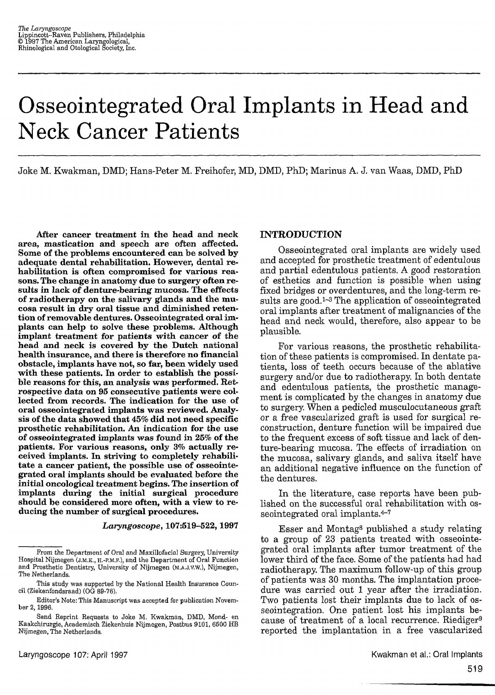*The Laryngoscope* Lippincott-Raven Publishers, Philadelphia © 1997 The American Laryngological, Rhinological and Otological Society, Inc.

# **Osseointegrated Oral Implants in Head and Neck Cancer Patients**

Joke M. Kwakman, DMD; Hans-Peter M. Freihofer, MD, DMD, PhD; Marinus A. J. van Waas, DMD, PhD

**After cancer treatment in the head and neck area, mastication and speech are often affected. Some of the problems encountered can be solved by adequate dental rehabilitation. However, dental rehabilitation is often compromised for various reasons. The change in anatomy due to surgery often results in lack of denture-bearing mucosa. The effects of radiotherapy on the salivary glands and the mucosa result in dry oral tissue and diminished retention of removable dentures. Osseointegrated oral implants can help to solve these problems. Although implant treatment for patients with cancer of the head and neck is covered by the Dutch national health insurance, and there is therefore no financial obstacle, implants have not, so far, been widely used with these patients. In order to establish the possible reasons for this, an analysis was performed. Retrospective data on 95 consecutive patients were collected from records. The indication for the use of oral osseointegrated implants was reviewed. Analysis of the data showed that 45% did not need specific prosthetic rehabilitation. An indication for the use of osseointegrated implants was found in 25% of the patients. For various reasons, only 3% actually received implants. In striving to completely rehabilitate a cancer patient, the possible use of osseointegrated oral implants should be evaluated before the initial oncological treatment begins. The insertion of implants during the initial surgical procedure should be considered more often, with a view to reducing the number of surgical procedures.**

In the literature, case reports have been published on the successful oral rehabilitation with osseointegrated oral implants.<sup>4-7</sup>

*Laryngoscope***, 107:519-522,1997**

Editor's Note: This Manuscript was accepted for publication November 2,1996.

Send Reprint Requests to Joke M. Kwakman, DMD, Mond- en Kaakchirurgie, Academisch Ziekenhuis Nijmegen, Postbus 9101, 6500 HB Nijmegen, The Netherlands.

# **INTRODUCTION**

Osseointegrated oral implants are widely used and accepted for prosthetic treatment of edentulous and partial edentulous patients. A good restoration of esthetics and function is possible when using fixed bridges or overdentures, and the long-term results are good.<sup>1-3</sup> The application of osseointegrated oral implants after treatment of malignancies of the head and neck would, therefore, also appear to be plausible.

For various reasons, the prosthetic rehabilitation of these patients is compromised. In dentate patients, loss of teeth occurs because of the ablative surgery and/or due to radiotherapy. In both dentate and edentulous patients, the prosthetic management is complicated by the changes in anatomy due to surgery When a pedicled musculocutaneous graft or a free vascularized graft is used for surgical reconstruction, denture function will be impaired due to the frequent excess of soft tissue and lack of denture-bearing mucosa. The effects of irradiation on the mucosa, salivary glands, and saliva itself have an additional negative influence on the function of the dentures.

Esser and Montag8 published a study relating to a group of 23 patients treated with osseointegrated oral implants after tumor treatment of the lower third of the face. Some of the patients had had radiotherapy. The maximum follow-up of this group of patients was 30 months. The implantation procedure was carried out 1 year after the irradiation. Two patients lost their implants due to lack of osseointegration. One patient lost his implants because of treatment of a local recurrence, Riediger<sup>9</sup> reported the implantation in a free vascularized

Laryngoscope 107; April 1997 Kwakman et al.: Oral Implants

519

From the Department of Oral and Maxillofacial Surgery, University Hospital Nijmegen (J.M.K., H.-P.M.F.), and the Department of Oral Function and Prosthetic Dentistry, University of Nijmegen (m.a.J.V.W.), Nijmegen, The Netherlands.

This study was supported by the National Health Insurance Council (Ziekenfondsraad) (OG 89-76).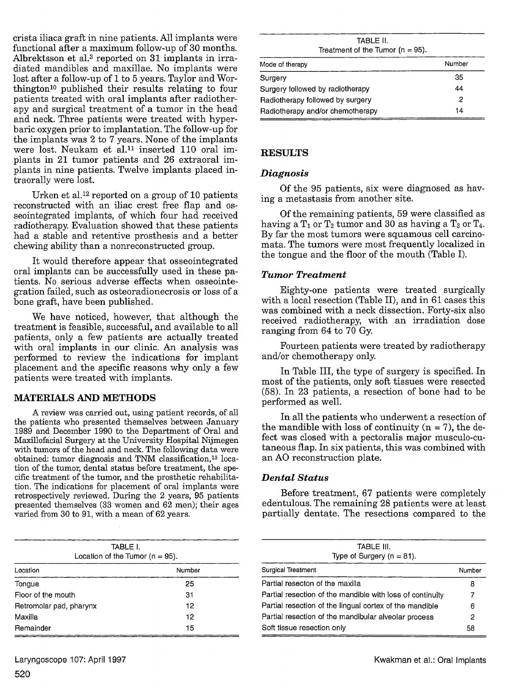crista iliaca graft in nine patients. All implants were functional after a maximum follow-up of 30 months. Albrektsson et al.3 reported on 31 implants in irradiated mandibles and maxillae. No implants were lost after a follow-up of 1 to 5 years. Taylor and Worthington10 published their results relating to four patients treated with oral implants after radiotherapy and surgical treatment of a tumor in the head and neck. Three patients were treated with hyperbaric oxygen prior to implantation. The follow-up for the implants was 2 to 7 years. None of the implants were lost. Neukam et al.11 inserted 110 oral implants in 21 tumor patients and 26 extraoral implants in nine patients. Twelve implants placed intraorally were lost.

It would therefore appear that osseointegrated oral implants can be successfully used in these patients. No serious adverse effects when osseointegration failed, such as osteoradionecrosis or loss of a bone graft, have been published.

Urken et al.12 reported on a group of 10 patients

reconstructed with an iliac crest free flap and osseointegrated implants, of which four had received radiotherapy. Evaluation showed that these patients had a stable and retentive prosthesis and a better chewing ability than a nonreconstructed group.

We have noticed, however, that although the treatment is feasible, successful, and available to all patients, only a few patients are actually treated with oral implants in our clinic. An analysis was performed to review the indications for implant placement and the specific reasons why only a few patients were treated with implants.

# **MATERIALS AND METHODS**

A review was carried out, using patient records, of all the patients who presented themselves between January 1989 and December 1990 to the Department of Oral and Maxillofacial Surgery at the University Hospital Nijmegen with tumors of the head and neck. The following data were obtained: tumor diagnosis and TNM classification,13 location of the tumor, dental status before treatment, the specific treatment of the tumor, and the prosthetic rehabilitation. The indications for placement of oral implants were retrospectively reviewed. During the 2 years, 95 patients presented themselves (33 women and 62 men); their ages varied from 30 to 91, with a mean of 62 years.

| TABLE II.<br>Treatment of the Tumor ( $n = 95$ ). |                |  |
|---------------------------------------------------|----------------|--|
| Mode of therapy                                   | <b>Number</b>  |  |
| <b>Surgery</b>                                    | 35             |  |
| Surgery followed by radiotherapy                  | 44             |  |
| Radiotherapy followed by surgery                  | $\overline{2}$ |  |
| Radiotherapy and/or chemotherapy                  | 14             |  |

# **RESULTS**

# *Diagnosis*

Of the 95 patients, six were diagnosed as having a metastasis from another site.

Of the remaining patients, 59 were classified as having a  $T_1$  or  $T_2$  tumor and 30 as having a  $T_3$  or  $T_4$ . By far the most tumors were squamous cell carcinomata. The tumors were most frequently localized in the tongue and the floor of the mouth (Table I).

# *Tumor Treatment*

Eighty-one patients were treated surgically with a local resection (Table II), and in 61 cases this was combined with a neck dissection. Forty-six also received radiotherapy, with an irradiation dose ranging from 64 to 70 Gy.

Fourteen patients were treated by radiotherapy and/or chemotherapy only.

In Table III, the type of surgery is specified. In most of the patients, only soft tissues were resected (58). In 23 patients, a resection of bone had to be performed as well.

In all the patients who underwent a resection of the mandible with loss of continuity  $(n = 7)$ , the defect was closed with a pectoralis major musculo-cutaneous flap. In six patients, this was combined with an AO reconstruction plate.

# *Dental Status*

Before treatment, 67 patients were completely edentulous. The remaining 28 patients were at least partially dentate. The resections compared to the

| TABLE I.<br>Location of the Tumor $(n = 95)$ . |               | TABLE III.<br>Type of Surgery ( $n = 81$ ).               |        |  |
|------------------------------------------------|---------------|-----------------------------------------------------------|--------|--|
| Location                                       | <b>Number</b> | <b>Surgical Treatment</b>                                 | Number |  |
| Tongue                                         | 25            | Partial resecton of the maxilla                           |        |  |
| Floor of the mouth                             | 31            | Partial resection of the mandible with loss of continuity |        |  |



| Retromolar pad, pharynx | H Q | Partial resection of the lingual cortex of the mandible |    |
|-------------------------|-----|---------------------------------------------------------|----|
| Maxilla                 | ィク  | Partial resection of the mandibular alveolar process    |    |
| Remainder               | 15  | Soft tissue resection only                              | 58 |

### Laryngoscope 107: April 1997 Kwakman et al.: Oral Implants

520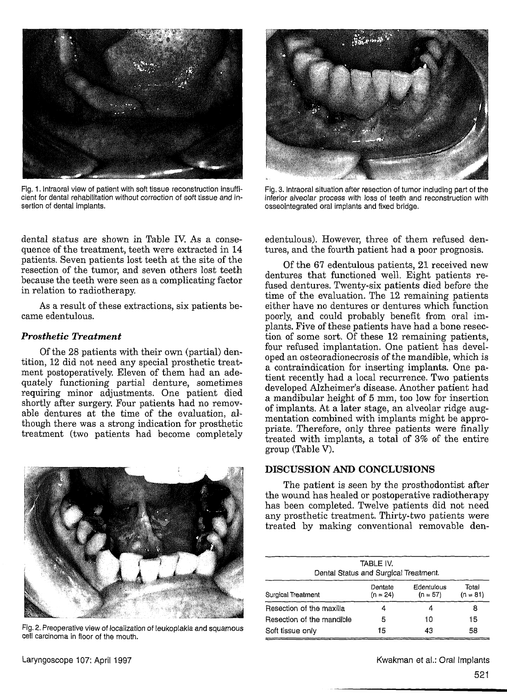

Fig. 1. Intraoral view of patient with soft tissue reconstruction insufficient for dentai rehabilitation without correction of soft tissue and in-



### sertion of dental implants.

dental status are shown in Table IV. As a consequence of the treatment, teeth were extracted in 14 patients. Seven patients lost teeth at the site of the resection of the tumor, and seven others lost teeth because the teeth were seen as a complicating factor in relation to radiotherapy.

As a result of these extractions, six patients became edentulous.

# *Prosthetic Treatment*

Of the 28 patients with their own (partial) dentition, 12 did not need any special prosthetic treatment postoperatively. Eleven of them had an adequately functioning partial denture, sometimes requiring minor adjustments. One patient died shortly after surgery. Four patients had no removable dentures at the time of the evaluation, although there was a strong indication for prosthetic treatment (two patients had become completely

### Fig. 2. Preoperative view of localization of leukoplakia and squamous cell carcinoma in floor of the mouth.

Fig. 3. Intraoral situation after resection of tumor including part of the Inferior alveolar process with loss of teeth and reconstruction with osseointegrated oral implants and fixed bridge.

The patient is seen by the prosthodontist after the wound has healed or postoperative radiotherapy has been completed, Twelve patients did not need any prosthetic treatment. Thirty-two patients were treated by making conventional removable den-

edentulous). However, three of them refused dentures, and the fourth patient had a poor prognosis.

Of the 67 edentulous patients, 21 received new dentures that functioned well. Eight patients refused dentures. Twenty-six patients died before the time of the evaluation. The 12 remaining patients either have no dentures or dentures which function poorly, and could probably benefit from oral implants. Five of these patients have had a bone resection of some sort. Of these 12 remaining patients, four refused implantation. One patient has developed an osteoradionecrosis of the mandible, which is a contraindication for inserting implants. One patient recently had a local recurrence. Two patients developed Alzheimer's disease. Another patient had a mandibular height of 5 mm, too low for insertion of implants. At a later stage, an alveolar ridge augmentation combined with implants might be appropriate. Therefore, only three patients were finally treated with implants, a total of 3% of the entire group (Table V).



# **DISCUSSION AND CONCLUSIONS**

| TABLE IV.                             |  |  |
|---------------------------------------|--|--|
| Dental Status and Surgical Treatment. |  |  |

|                           | Dentate    |
|---------------------------|------------|
| <b>Surgical Treatment</b> | $(n = 24)$ |

Total

 $(n = 81)$ 

| Resection of the maxilla  |    |    |    |
|---------------------------|----|----|----|
| Resection of the mandible | 5  | 10 | 15 |
| Soft tissue only          | 15 | 43 | 58 |

Laryngoscope 107: April 1997 Kwakman et al.: Oral Implants

**Edentulous** 

 $(n = 57)$ 

521